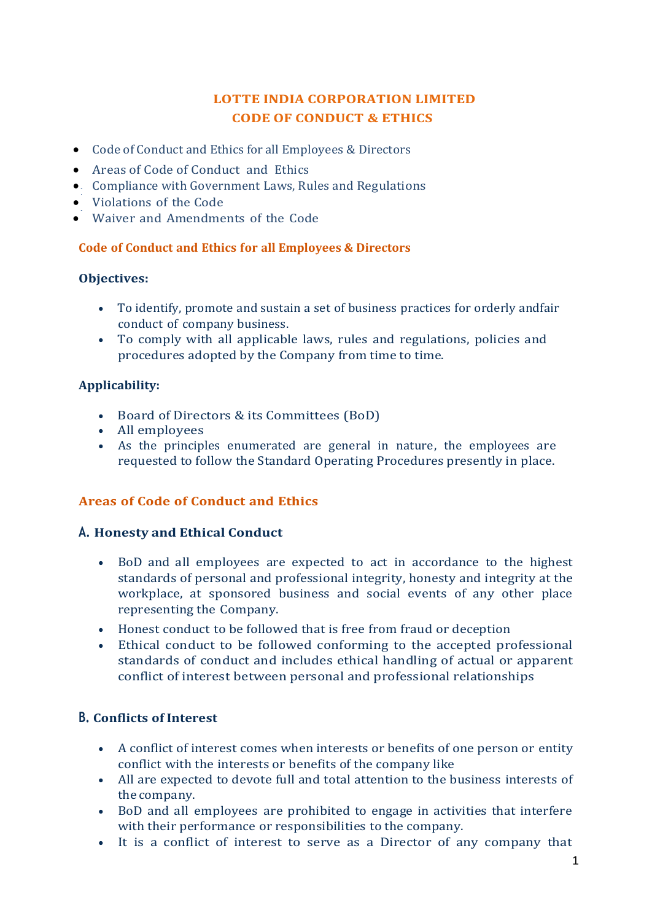# **LOTTE INDIA CORPORATION LIMITED CODE OF CONDUCT & ETHICS**

- Code of [Conduct](http://www.lotteindia.com/IS_CodeofConduct.html) and Ethics for all Employees & Directors
- Areas of Code of [Conduct and](http://www.lotteindia.com/IS_CodeofConduct.html) [Ethics](http://www.lotteindia.com/IS_CodeofConduct.html)
- Compliance with [Government](http://www.lotteindia.com/IS_CodeofConduct.html) Laws, Rules and [Regulations](http://www.lotteindia.com/IS_CodeofConduct.html)
- [Violations](http://www.lotteindia.com/IS_CodeofConduct.html) of the Code
- Waiver and [Amendments](http://www.lotteindia.com/IS_CodeofConduct.html) of the Code

### **Code of Conduct and Ethics for all Employees & Directors**

#### **Objectives:**

- To identify, promote and sustain a set of business practices for orderly andfair conduct of company business.
- To comply with all applicable laws, rules and regulations, policies and procedures adopted by the Company from time to time.

### **Applicability:**

- Board of Directors & its Committees (BoD)
- All employees
- As the principles enumerated are general in nature, the employees are requested to follow the Standard Operating Procedures presently in place.

# **Areas of Code of Conduct and Ethics**

# **A. Honesty and Ethical Conduct**

- BoD and all employees are expected to act in accordance to the highest standards of personal and professional integrity, honesty and integrity at the workplace, at sponsored business and social events of any other place representing the Company.
- Honest conduct to be followed that is free from fraud or deception
- Ethical conduct to be followed conforming to the accepted professional standards of conduct and includes ethical handling of actual or apparent conflict of interest between personal and professional relationships

# **B. Conflicts of Interest**

- A conflict of interest comes when interests or benefits of one person or entity conflict with the interests or benefits of the company like
- All are expected to devote full and total attention to the business interests of the company.
- BoD and all employees are prohibited to engage in activities that interfere with their performance or responsibilities to the company.
- It is a conflict of interest to serve as a Director of any company that